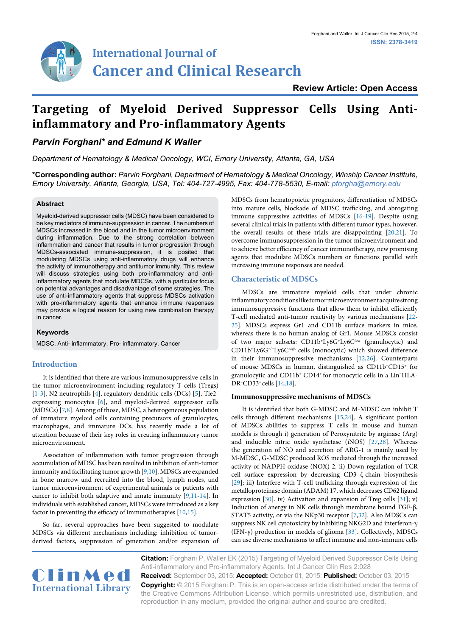

# **International Journal of Cancer and Clinical Research**

## **Targeting of Myeloid Derived Suppressor Cells Using Antiinflammatory and Pro-inflammatory Agents**

### *Parvin Forghani\* and Edmund K Waller*

*Department of Hematology & Medical Oncology, WCI, Emory University, Atlanta, GA, USA*

**\*Corresponding author:** *Parvin Forghani, Department of Hematology & Medical Oncology, Winship Cancer Institute, Emory University, Atlanta, Georgia, USA, Tel: 404-727-4995, Fax: 404-778-5530, E-mail: pforgha@emory.edu*

#### **Abstract**

Myeloid-derived suppressor cells (MDSC) have been considered to be key mediators of immuno-suppression in cancer. The numbers of MDSCs increased in the blood and in the tumor microenvironment during inflammation. Due to the strong correlation between inflammation and cancer that results in tumor progression through MDSCs-associated immune-suppression, it is posited that modulating MDSCs using anti-inflammatory drugs will enhance the activity of immunotherapy and antitumor immunity. This review will discuss strategies using both pro-inflammatory and antiinflammatory agents that modulate MDCSs, with a particular focus on potential advantages and disadvantage of some strategies. The use of anti-inflammatory agents that suppress MDSCs activation with pro-inflammatory agents that enhance immune responses may provide a logical reason for using new combination therapy in cancer.

#### **Keywords**

MDSC, Anti- inflammatory, Pro- inflammatory, Cancer

#### **Introduction**

It is identified that there are various immunosuppressive cells in the tumor microenvironment including regulatory T cells (Tregs) [[1](#page-1-0)[-3](#page-1-1)], N2 neutrophils [[4\]](#page-1-2), regulatory dendritic cells (DCs) [[5](#page-1-3)], Tie2 expressing monocytes [[6\]](#page-1-4), and myeloid-derived suppressor cells (MDSCs) [[7](#page-2-17)[,8\]](#page-2-20). Among of those, MDSC, a heterogeneous population of immature myeloid cells containing precursors of granulocytes, macrophages, and immature DCs, has recently made a lot of attention because of their key roles in creating inflammatory tumor microenvironment.

Association of inflammation with tumor progression through accumulation of MDSC has been resulted in inhibition of anti-tumor immunity and facilitating tumor growth [\[9](#page-2-21),[10](#page-2-22)]. MDSCs are expanded in bone marrow and recruited into the blood, lymph nodes, and tumor microenvironment of experimental animals or patients with cancer to inhibit both adaptive and innate immunity [[9](#page-2-21)[,11](#page-2-23)[-14\]](#page-2-8). In individuals with established cancer, MDSCs were introduced as a key factor in preventing the efficacy of immunotherapies [\[10,](#page-2-22)[15](#page-2-10)].

So far, several approaches have been suggested to modulate MDSCs via different mechanisms including: inhibition of tumorderived factors, suppression of generation and/or expansion of MDSCs from hematopoietic progenitors, differentiation of MDSCs into mature cells, blockade of MDSC trafficking, and abrogating immune suppressive activities of MDSCs [\[16-](#page-2-0)[19\]](#page-2-1). Despite using several clinical trials in patients with different tumor types, however, the overall results of these trials are disappointing [\[20,](#page-2-2)[21\]](#page-2-3). To overcome immunosuppression in the tumor microenvironment and to achieve better efficiency of cancer immunotherapy, new promising agents that modulate MDSCs numbers or functions parallel with increasing immune responses are needed.

#### **Characteristic of MDSCs**

MDSCs are immature myeloid cells that under chronic inflammatory conditions like tumor microenvironment acquire strong immunosuppressive functions that allow them to inhibit efficiently T-cell mediated anti-tumor reactivity by various mechanisms [[22-](#page-2-4) [25\]](#page-2-5). MDSCs express Gr1 and CD11b surface markers in mice, whereas there is no human analog of Gr1. Mouse MDSCs consist of two major subsets: CD11b+Ly6G+Ly6Clow (granulocytic) and CD11b+Ly6G+/−Ly6Chigh cells (monocytic) which showed difference in their immunosuppressive mechanisms [\[12](#page-2-6)[,26\]](#page-2-7). Counterparts of mouse MDSCs in human, distinguished as CD11b+CD15+ for granulocytic and CD11b+ CD14+ for monocytic cells in a Lin−HLA-DR<sup>−</sup>CD33<sup>+</sup> cells [\[14](#page-2-8)[,18\]](#page-2-9).

#### **Immunosuppressive mechanisms of MDSCs**

It is identified that both G-MDSC and M-MDSC can inhibit T cells through different mechanisms [[15](#page-2-10)[,24\]](#page-2-11). A significant portion of MDSCs abilities to suppress T cells in mouse and human models is through i) generation of Peroxynitrite by arginase (Arg) and inducible nitric oxide synthetase (iNOS) [\[27,](#page-2-12)[28\]](#page-2-13). Whereas the generation of NO and secretion of ARG-1 is mainly used by M-MDSC, G-MDSC produced ROS mediated through the increased activity of NADPH oxidase (NOX) 2. ii) Down-regulation of TCR cell surface expression by decreasing CD3 ζ-chain biosynthesis [\[29\]](#page-2-14); iii) Interfere with T-cell trafficking through expression of the metalloproteinase domain (ADAM) 17, which decreases CD62 ligand expression [[30](#page-2-15)]. iv) Activation and expansion of Treg cells [[31](#page-2-16)]; v) Induction of anergy in NK cells through membrane bound TGF-β, STAT5 activity, or via the NKp30 receptor [[7,](#page-2-17)[32\]](#page-2-18). Also MDSCs can suppress NK cell cytotoxicity by inhibiting NKG2D and interferon-γ (IFN-γ) production in models of glioma [[33](#page-2-19)]. Collectively, MDSCs can use diverse mechanisms to affect immune and non-immune cells



**Citation:** Forghani P, Waller EK (2015) Targeting of Myeloid Derived Suppressor Cells Using Anti-inflammatory and Pro-inflammatory Agents. Int J Cancer Clin Res 2:028 **Received:** September 03, 2015: **Accepted:** October 01, 2015: **Published:** October 03, 2015 **Copyright:** © 2015 Forghani P. This is an open-access article distributed under the terms of the Creative Commons Attribution License, which permits unrestricted use, distribution, and reproduction in any medium, provided the original author and source are credited.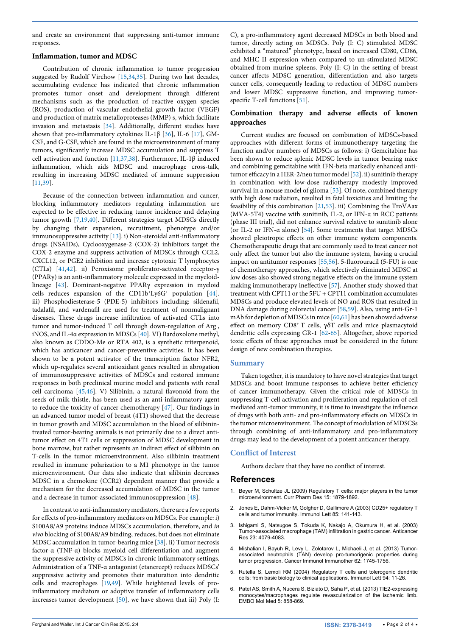and create an environment that suppressing anti-tumor immune responses.

#### **Inflammation, tumor and MDSC**

Contribution of chronic inflammation to tumor progression suggested by Rudolf Virchow [\[15,](#page-2-10)[34](#page-2-31),[35](#page-2-32)]. During two last decades, accumulating evidence has indicated that chronic inflammation promotes tumor onset and development through different mechanisms such as the production of reactive oxygen species (ROS), production of vascular endothelial growth factor (VEGF) and production of matrix metalloproteases (MMP) s, which facilitate invasion and metastasis [[34](#page-2-31)]. Additionally, different studies have shown that pro-inflammatory cytokines IL-1β [[36\]](#page-2-33), IL-6 [\[17\]](#page-2-34), GM-CSF, and G-CSF, which are found in the microenvironment of many tumors, significantly increase MDSC accumulation and suppress T cell activation and function [[11,](#page-2-23)[37](#page-2-35)[,38](#page-2-36)]. Furthermore, IL-1β induced inflammation, which aids MDSC and macrophage cross-talk, resulting in increasing MDSC mediated of immune suppression [[11](#page-2-23)[,39\]](#page-2-37).

Because of the connection between inflammation and cancer, blocking inflammatory mediators regulating inflammation are expected to be effective in reducing tumor incidence and delaying tumor growth [[7](#page-2-17)[,19,](#page-2-1)[40](#page-2-38)]. Different strategies target MDSCs directly by changing their expansion, recruitment, phenotype and/or immunosuppressive activity [[13](#page-2-39)]. i) Non-steroidal anti-inflammatory drugs (NSAIDs), Cyclooxygenase-2 (COX-2) inhibitors target the COX-2 enzyme and suppress activation of MDSCs through CCL2, CXCL12, or PGE2 inhibition and increase cytotoxic T lymphocytes (CTLs) [\[41,](#page-2-40)[42\]](#page-2-41). ii) Peroxisome proliferator-activated receptor-γ (PPARγ) is an anti-inflammatory molecule expressed in the myeloidlineage [[43](#page-2-42)]. Dominant-negative PPARγ expression in myeloid cells reduces expansion of the CD11b+Ly6G+ population [[44](#page-2-43)]. iii) Phosphodiesterase-5 (PDE-5) inhibitors including: sildenafil, tadalafil, and vardenafil are used for treatment of nonmalignant diseases. These drugs increase infiltration of activated CTLs into tumor and tumor-induced T cell through down-regulation of  $\mathrm{Arg}_{_{\mathrm{I}}},$ iNOS, and IL-4α expression in MDSCs [[40](#page-2-38)]. VI) Bardoxolone methyl, also known as CDDO-Me or RTA 402, is a synthetic triterpenoid, which has anticancer and cancer-preventive activities. It has been shown to be a potent activator of the transcription factor NFR2, which up-regulates several antioxidant genes resulted in abrogation of immunosuppressive activities of MDSCs and restored immune responses in both preclinical murine model and patients with renal cell carcinoma [[45](#page-2-44)[,46\]](#page-2-45). V) Silibinin, a natural flavonoid from the seeds of milk thistle, has been used as an anti-inflammatory agent to reduce the toxicity of cancer chemotherapy [\[47\]](#page-2-46). Our findings in an advanced tumor model of breast (4T1) showed that the decrease in tumor growth and MDSC accumulation in the blood of silibinintreated tumor-bearing animals is not primarily due to a direct antitumor effect on 4T1 cells or suppression of MDSC development in bone marrow, but rather represents an indirect effect of silibinin on T-cells in the tumor microenvironment. Also silibinin treatment resulted in immune polarization to a M1 phenotype in the tumor microenvironment. Our data also indicate that silibinin decreases MDSC in a chemokine (CCR2) dependent manner that provide a mechanism for the decreased accumulation of MDSC in the tumor and a decrease in tumor-associated immunosuppression [[48](#page-2-47)].

In contrast to anti-inflammatory mediators, there are a few reports for effects of pro-inflammatory mediators on MDSCs. For example: i) S100A8/A9 proteins induce MDSCs accumulation, therefore, and *in vivo* blocking of S100A8/A9 binding, reduces, but does not eliminate MDSC accumulation in tumor-bearing mice [[38](#page-2-36)]. ii) Tumor necrosis factor-α (TNF-α) blocks myeloid cell differentiation and augment the suppressive activity of MDSCs in chronic inflammatory settings. Administration of a TNF-α antagonist (etanercept) reduces MDSCs' suppressive activity and promotes their maturation into dendritic cells and macrophages [\[19,](#page-2-1)[49](#page-2-48)]. While heightened levels of proinflammatory mediators or adoptive transfer of inflammatory cells increases tumor development [[50\]](#page-2-49), we have shown that iii) Poly (I: C), a pro-inflammatory agent decreased MDSCs in both blood and tumor, directly acting on MDSCs. Poly (I: C) stimulated MDSC exhibited a "matured" phenotype, based on increased CD80, CD86, and MHC II expression when compared to un-stimulated MDSC obtained from murine spleens. Poly (I: C) in the setting of breast cancer affects MDSC generation, differentiation and also targets cancer cells, consequently leading to reduction of MDSC numbers and lower MDSC suppressive function, and improving tumor-specific T-cell functions [[51](#page-2-24)].

#### **Combination therapy and adverse effects of known approaches**

Current studies are focused on combination of MDSCs-based approaches with different forms of immunotherapy targeting the function and/or numbers of MDSCs as follows: i) Gemcitabine has been shown to reduce splenic MDSC levels in tumor bearing mice and combining gemcitabine with IFN-beta markedly enhanced antitumor efficacy in a HER-2/neu tumor model [\[52](#page-2-25)]. ii) sunitinib therapy in combination with low-dose radiotherapy modestly improved survival in a mouse model of glioma [[53\]](#page-2-26). Of note, combined therapy with high dose radiation, resulted in fatal toxicities and limiting the feasibility of this combination [\[21,](#page-2-3)[53](#page-2-26)]. iii) Combining the TroVAax (MVA-5T4) vaccine with sunitinib, IL-2, or IFN-α in RCC patients (phase III trial), did not enhance survival relative to sunitinib alone (or IL-2 or IFN-α alone) [\[54\]](#page-2-27). Some treatments that target MDSCs showed pleiotropic effects on other immune system components. Chemotherapeutic drugs that are commonly used to treat cancer not only affect the tumor but also the immune system, having a crucial impact on antitumor responses [\[55,](#page-2-28)[56](#page-2-29)]. 5-fluorouracil (5-FU) is one of chemotherapy approaches, which selectively eliminated MDSC at low doses also showed strong negative effects on the immune system making immunotherapy ineffective [[57\]](#page-2-30). Another study showed that treatment with CPT11 or the 5FU + CPT11 combination accumulates MDSCs and produce elevated levels of NO and ROS that resulted in DNA damage during colorectal cancer [\[58,](#page-3-0)[59\]](#page-3-1). Also, using anti-Gr-1 mAb for depletion of MDSCs in mice [[60](#page-3-2),[61](#page-3-3)] has been showed adverse effect on memory CD8+ T cells, γδT cells and mice plasmacytoid dendritic cells expressing GR-1 [[62](#page-3-4)[-65](#page-3-5)]. Altogether, above reported toxic effects of these approaches must be considered in the future design of new combination therapies.

#### **Summary**

Taken together, it is mandatory to have novel strategies that target MDSCs and boost immune responses to achieve better efficiency of cancer immunotherapy. Given the critical role of MDSCs in suppressing T-cell activation and proliferation and regulation of cell mediated anti-tumor immunity, it is time to investigate the influence of drugs with both anti- and pro-inflammatory effects on MDSCs in the tumor microenvironment. The concept of modulation of MDSCSs through combining of anti-inflammatory and pro-inflammatory drugs may lead to the development of a potent anticancer therapy.

#### **Conflict of Interest**

Authors declare that they have no conflict of interest.

#### **References**

- <span id="page-1-0"></span>1. [Beyer M, Schultze JL \(2009\) Regulatory T cells: major players in the tumor](http://www.ncbi.nlm.nih.gov/pubmed/19519430)  [microenvironment. Curr Pharm Des 15: 1879-1892.](http://www.ncbi.nlm.nih.gov/pubmed/19519430)
- 2. [Jones E, Dahm-Vicker M, Golgher D, Gallimore A \(2003\) CD25+ regulatory T](http://www.ncbi.nlm.nih.gov/pubmed/12527220)  [cells and tumor immunity. Immunol Lett 85: 141-143.](http://www.ncbi.nlm.nih.gov/pubmed/12527220)
- <span id="page-1-1"></span>3. [Ishigami S, Natsugoe S, Tokuda K, Nakajo A, Okumura H, et al. \(2003\)](http://www.ncbi.nlm.nih.gov/pubmed/14666722)  [Tumor-associated macrophage \(TAM\) infiltration in gastric cancer. Anticancer](http://www.ncbi.nlm.nih.gov/pubmed/14666722)  [Res 23: 4079-4083.](http://www.ncbi.nlm.nih.gov/pubmed/14666722)
- <span id="page-1-2"></span>4. [Mishalian I, Bayuh R, Levy L, Zolotarov L, Michaeli J, et al. \(2013\) Tumor](http://www.ncbi.nlm.nih.gov/pubmed/24092389)[associated neutrophils \(TAN\) develop pro-tumorigenic properties during](http://www.ncbi.nlm.nih.gov/pubmed/24092389)  [tumor progression. Cancer Immunol Immunother 62: 1745-1756.](http://www.ncbi.nlm.nih.gov/pubmed/24092389)
- <span id="page-1-3"></span>5. [Rutella S, Lemoli RM \(2004\) Regulatory T cells and tolerogenic dendritic](http://www.ncbi.nlm.nih.gov/pubmed/15234530)  [cells: from basic biology to clinical applications. Immunol Lett 94: 11-26.](http://www.ncbi.nlm.nih.gov/pubmed/15234530)
- <span id="page-1-4"></span>6. [Patel AS, Smith A, Nucera S, Biziato D, Saha P, et al. \(2013\) TIE2-expressing](http://www.ncbi.nlm.nih.gov/pubmed/23653322)  [monocytes/macrophages regulate revascularization of the ischemic limb.](http://www.ncbi.nlm.nih.gov/pubmed/23653322)  [EMBO Mol Med 5: 858-869.](http://www.ncbi.nlm.nih.gov/pubmed/23653322)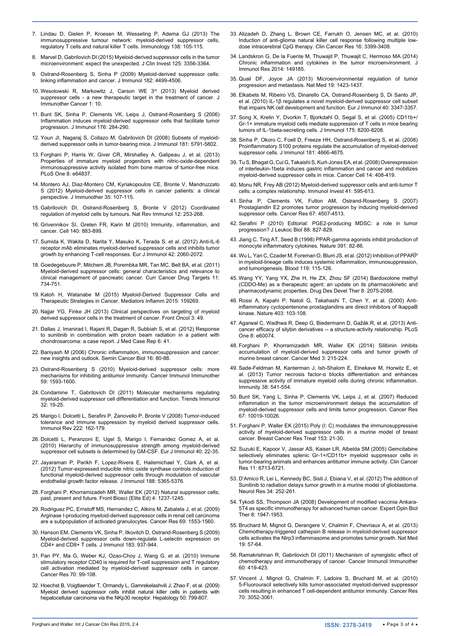- <span id="page-2-17"></span>7. [Lindau D, Gielen P, Kroesen M, Wesseling P, Adema GJ \(2013\) The](http://www.ncbi.nlm.nih.gov/pubmed/23216602)  [immunosuppressive tumour network: myeloid-derived suppressor cells,](http://www.ncbi.nlm.nih.gov/pubmed/23216602)  [regulatory T cells and natural killer T cells. Immunology 138: 105-115.](http://www.ncbi.nlm.nih.gov/pubmed/23216602)
- <span id="page-2-20"></span>8. [Marvel D, Gabrilovich DI \(2015\) Myeloid-derived suppressor cells in the tumor](http://www.ncbi.nlm.nih.gov/pubmed/26168215)  [microenvironment: expect the unexpected. J Clin Invest 125: 3356-3364.](http://www.ncbi.nlm.nih.gov/pubmed/26168215)
- <span id="page-2-21"></span>9. Ostrand-Rosenberg S, Sinha P (2009) Myeloid-derived suppressor cells: linking inflammation and cancer. J Immunol 182: 4499-4506.
- <span id="page-2-22"></span>10. [Wesolowski R, Markowitz J, Carson WE 3](http://www.ncbi.nlm.nih.gov/pubmed/24829747)rd (2013) Myeloid derived [suppressor cells - a new therapeutic target in the treatment of cancer. J](http://www.ncbi.nlm.nih.gov/pubmed/24829747)  [Immunother Cancer 1: 10.](http://www.ncbi.nlm.nih.gov/pubmed/24829747)
- <span id="page-2-23"></span>11. [Bunt SK, Sinha P, Clements VK, Leips J, Ostrand-Rosenberg S \(2006\)](http://www.ncbi.nlm.nih.gov/pubmed/16365420)  [Inflammation induces myeloid-derived suppressor cells that facilitate tumor](http://www.ncbi.nlm.nih.gov/pubmed/16365420)  [progression. J Immunol 176: 284-290.](http://www.ncbi.nlm.nih.gov/pubmed/16365420)
- <span id="page-2-6"></span>12. [Youn JI, Nagaraj S, Collazo M, Gabrilovich DI \(2008\) Subsets of myeloid](http://www.ncbi.nlm.nih.gov/pubmed/18832739)[derived suppressor cells in tumor-bearing mice. J Immunol 181: 5791-5802.](http://www.ncbi.nlm.nih.gov/pubmed/18832739)
- <span id="page-2-39"></span>13. [Forghani P, Harris W, Giver CR, Mirshafiey A, Galipeau J, et al. \(2013\)](http://www.ncbi.nlm.nih.gov/pubmed/23843936)  [Properties of immature myeloid progenitors with nitric-oxide-dependent](http://www.ncbi.nlm.nih.gov/pubmed/23843936)  [immunosuppressive activity isolated from bone marrow of tumor-free mice.](http://www.ncbi.nlm.nih.gov/pubmed/23843936)  [PLoS One 8: e64837.](http://www.ncbi.nlm.nih.gov/pubmed/23843936)
- <span id="page-2-8"></span>14. [Montero AJ, Diaz-Montero CM, Kyriakopoulos CE, Bronte V, Mandruzzato](http://www.ncbi.nlm.nih.gov/pubmed/22306898)  [S \(2012\) Myeloid-derived suppressor cells in cancer patients: a clinical](http://www.ncbi.nlm.nih.gov/pubmed/22306898)  [perspective. J Immunother 35: 107-115.](http://www.ncbi.nlm.nih.gov/pubmed/22306898)
- <span id="page-2-10"></span>15. [Gabrilovich DI, Ostrand-Rosenberg S, Bronte V \(2012\) Coordinated](http://www.ncbi.nlm.nih.gov/pubmed/22437938)  [regulation of myeloid cells by tumours. Nat Rev Immunol 12: 253-268.](http://www.ncbi.nlm.nih.gov/pubmed/22437938)
- <span id="page-2-0"></span>16. [Grivennikov SI, Greten FR, Karin M \(2010\) Immunity, inflammation, and](http://www.ncbi.nlm.nih.gov/pubmed/20303878)  [cancer. Cell 140: 883-899.](http://www.ncbi.nlm.nih.gov/pubmed/20303878)
- <span id="page-2-34"></span>17. [Sumida K, Wakita D, Narita Y, Masuko K, Terada S, et al. \(2012\) Anti-IL-6](http://www.ncbi.nlm.nih.gov/pubmed/22653638)  [receptor mAb eliminates myeloid-derived suppressor cells and inhibits tumor](http://www.ncbi.nlm.nih.gov/pubmed/22653638)  [growth by enhancing T-cell responses. Eur J Immunol 42: 2060-2072.](http://www.ncbi.nlm.nih.gov/pubmed/22653638)
- <span id="page-2-9"></span>18. [Goedegebuure P, Mitchem JB, Porembka MR, Tan MC, Belt BA, et al. \(2011\)](http://www.ncbi.nlm.nih.gov/pubmed/21599634)  [Myeloid-derived suppressor cells: general characteristics and relevance to](http://www.ncbi.nlm.nih.gov/pubmed/21599634)  [clinical management of pancreatic cancer. Curr Cancer Drug Targets 11:](http://www.ncbi.nlm.nih.gov/pubmed/21599634)  [734-751.](http://www.ncbi.nlm.nih.gov/pubmed/21599634)
- <span id="page-2-1"></span>19. [Katoh H, Watanabe M \(2015\) Myeloid-Derived Suppressor Cells and](http://www.ncbi.nlm.nih.gov/pubmed/26078490)  [Therapeutic Strategies in Cancer. Mediators Inflamm 2015: 159269.](http://www.ncbi.nlm.nih.gov/pubmed/26078490)
- <span id="page-2-2"></span>20. [Najjar YG, Finke JH \(2013\) Clinical perspectives on targeting of myeloid](http://www.ncbi.nlm.nih.gov/pubmed/23508517)  [derived suppressor cells in the treatment of cancer. Front Oncol 3: 49.](http://www.ncbi.nlm.nih.gov/pubmed/23508517)
- <span id="page-2-3"></span>21. [Dallas J, Imanirad I, Rajani R, Dagan R, Subbiah S, et al. \(2012\) Response](http://www.ncbi.nlm.nih.gov/pubmed/22289277)  [to sunitinib in combination with proton beam radiation in a patient with](http://www.ncbi.nlm.nih.gov/pubmed/22289277)  [chondrosarcoma: a case report. J Med Case Rep 6: 41.](http://www.ncbi.nlm.nih.gov/pubmed/22289277)
- <span id="page-2-4"></span>22. [Baniyash M \(2006\) Chronic inflammation, immunosuppression and cancer:](http://www.ncbi.nlm.nih.gov/pubmed/16420981)  [new insights and outlook. Semin Cancer Biol 16: 80-88.](http://www.ncbi.nlm.nih.gov/pubmed/16420981)
- 23. [Ostrand-Rosenberg S \(2010\) Myeloid-derived suppressor cells: more](http://www.ncbi.nlm.nih.gov/pubmed/20414655)  [mechanisms for inhibiting antitumor immunity. Cancer Immunol Immunother](http://www.ncbi.nlm.nih.gov/pubmed/20414655)  [59: 1593-1600.](http://www.ncbi.nlm.nih.gov/pubmed/20414655)
- <span id="page-2-11"></span>24. [Condamine T, Gabrilovich DI \(2011\) Molecular mechanisms regulating](http://www.ncbi.nlm.nih.gov/pubmed/21067974)  [myeloid-derived suppressor cell differentiation and function. Trends Immunol](http://www.ncbi.nlm.nih.gov/pubmed/21067974)  [32: 19-25.](http://www.ncbi.nlm.nih.gov/pubmed/21067974)
- <span id="page-2-5"></span>25. Marigo I, Dolcetti L, Serafini P, Zanovello P, Bronte V (2008) Tumor-induced tolerance and immune suppression by myeloid derived suppressor cells. Immunol Rev 222: 162-179.
- <span id="page-2-7"></span>26. [Dolcetti L, Peranzoni E, Ugel S, Marigo I, Fernandez Gomez A, et al.](http://www.ncbi.nlm.nih.gov/pubmed/19941314)  [\(2010\) Hierarchy of immunosuppressive strength among myeloid-derived](http://www.ncbi.nlm.nih.gov/pubmed/19941314)  [suppressor cell subsets is determined by GM-CSF. Eur J Immunol 40: 22-35.](http://www.ncbi.nlm.nih.gov/pubmed/19941314)
- <span id="page-2-12"></span>27. [Jayaraman P, Parikh F, Lopez-Rivera E, Hailemichael Y, Clark A, et al.](http://www.ncbi.nlm.nih.gov/pubmed/22529296)  [\(2012\) Tumor-expressed inducible nitric oxide synthase controls induction of](http://www.ncbi.nlm.nih.gov/pubmed/22529296)  [functional myeloid-derived suppressor cells through modulation of vascular](http://www.ncbi.nlm.nih.gov/pubmed/22529296)  [endothelial growth factor release. J Immunol 188: 5365-5376.](http://www.ncbi.nlm.nih.gov/pubmed/22529296)
- <span id="page-2-13"></span>28. [Forghani P, Khorramizadeh MR, Waller EK \(2012\) Natural suppressor cells;](http://www.ncbi.nlm.nih.gov/pubmed/22201949)  [past, present and future. Front Biosci \(Elite Ed\) 4: 1237-1245.](http://www.ncbi.nlm.nih.gov/pubmed/22201949)
- <span id="page-2-14"></span>29. [Rodriguez PC, Ernstoff MS, Hernandez C, Atkins M, Zabaleta J, et al. \(2009\)](http://www.ncbi.nlm.nih.gov/pubmed/19201693)  [Arginase I-producing myeloid-derived suppressor cells in renal cell carcinoma](http://www.ncbi.nlm.nih.gov/pubmed/19201693)  [are a subpopulation of activated granulocytes. Cancer Res 69: 1553-1560.](http://www.ncbi.nlm.nih.gov/pubmed/19201693)
- <span id="page-2-15"></span>30. [Hanson EM, Clements VK, Sinha P, Ilkovitch D, Ostrand-Rosenberg S \(2009\)](http://www.ncbi.nlm.nih.gov/pubmed/19553533)  [Myeloid-derived suppressor cells down-regulate L-selectin expression on](http://www.ncbi.nlm.nih.gov/pubmed/19553533)  [CD4+ and CD8+ T cells. J Immunol 183: 937-944.](http://www.ncbi.nlm.nih.gov/pubmed/19553533)
- <span id="page-2-16"></span>31. [Pan PY, Ma G, Weber KJ, Ozao-Choy J, Wang G, et al. \(2010\) Immune](http://www.ncbi.nlm.nih.gov/pubmed/19996287)  [stimulatory receptor CD40 is required for T-cell suppression and T regulatory](http://www.ncbi.nlm.nih.gov/pubmed/19996287)  [cell activation mediated by myeloid-derived suppressor cells in cancer.](http://www.ncbi.nlm.nih.gov/pubmed/19996287)  [Cancer Res 70: 99-108.](http://www.ncbi.nlm.nih.gov/pubmed/19996287)
- <span id="page-2-18"></span>32. [Hoechst B, Voigtlaender T, Ormandy L, Gamrekelashvili J, Zhao F, et al. \(2009\)](http://www.ncbi.nlm.nih.gov/pubmed/19551844)  [Myeloid derived suppressor cells inhibit natural killer cells in patients with](http://www.ncbi.nlm.nih.gov/pubmed/19551844)  [hepatocellular carcinoma via the NKp30 receptor. Hepatology 50: 799-807.](http://www.ncbi.nlm.nih.gov/pubmed/19551844)
- <span id="page-2-19"></span>33. [Alizadeh D, Zhang L, Brown CE, Farrukh O, Jensen MC, et al. \(2010\)](http://www.ncbi.nlm.nih.gov/pubmed/20570924)  [Induction of anti-glioma natural killer cell response following multiple low](http://www.ncbi.nlm.nih.gov/pubmed/20570924)[dose intracerebral CpG therapy. Clin Cancer Res 16: 3399-3408.](http://www.ncbi.nlm.nih.gov/pubmed/20570924)
- <span id="page-2-31"></span>34. [Landskron G, De la Fuente M, Thuwajit P, Thuwajit C, Hermoso MA \(2014\)](http://www.ncbi.nlm.nih.gov/pubmed/24901008)  [Chronic inflammation and cytokines in the tumor microenvironment. J](http://www.ncbi.nlm.nih.gov/pubmed/24901008)  [Immunol Res 2014: 149185.](http://www.ncbi.nlm.nih.gov/pubmed/24901008)
- <span id="page-2-32"></span>35. [Quail DF, Joyce JA \(2013\) Microenvironmental regulation of tumor](http://www.ncbi.nlm.nih.gov/pubmed/24202395)  [progression and metastasis. Nat Med 19: 1423-1437.](http://www.ncbi.nlm.nih.gov/pubmed/24202395)
- <span id="page-2-33"></span>36. [Elkabets M, Ribeiro VS, Dinarello CA, Ostrand-Rosenberg S, Di Santo JP,](http://www.ncbi.nlm.nih.gov/pubmed/21110318)  [et al. \(2010\) IL-1β regulates a novel myeloid-derived suppressor cell subset](http://www.ncbi.nlm.nih.gov/pubmed/21110318)  [that impairs NK cell development and function. Eur J Immunol 40: 3347-3357.](http://www.ncbi.nlm.nih.gov/pubmed/21110318)
- <span id="page-2-35"></span>37. [Song X, Krelin Y, Dvorkin T, Bjorkdahl O, Segal S, et al. \(2005\) CD11b+/](http://www.ncbi.nlm.nih.gov/pubmed/16339559) [Gr-1+ immature myeloid cells mediate suppression of T cells in mice bearing](http://www.ncbi.nlm.nih.gov/pubmed/16339559)  [tumors of IL-1beta-secreting cells. J Immunol 175: 8200-8208.](http://www.ncbi.nlm.nih.gov/pubmed/16339559)
- <span id="page-2-36"></span>38. [Sinha P, Okoro C, Foell D, Freeze HH, Ostrand-Rosenberg S, et al. \(2008\)](http://www.ncbi.nlm.nih.gov/pubmed/18802069)  [Proinflammatory S100 proteins regulate the accumulation of myeloid-derived](http://www.ncbi.nlm.nih.gov/pubmed/18802069)  [suppressor cells. J Immunol 181: 4666-4675.](http://www.ncbi.nlm.nih.gov/pubmed/18802069)
- <span id="page-2-37"></span>39. [Tu S, Bhagat G, Cui G, Takaishi S, Kurt-Jones EA, et al. \(2008\) Overexpression](http://www.ncbi.nlm.nih.gov/pubmed/18977329)  [of interleukin-1beta induces gastric inflammation and cancer and mobilizes](http://www.ncbi.nlm.nih.gov/pubmed/18977329)  [myeloid-derived suppressor cells in mice. Cancer Cell 14: 408-419.](http://www.ncbi.nlm.nih.gov/pubmed/18977329)
- <span id="page-2-38"></span>40. [Monu NR, Frey AB \(2012\) Myeloid-derived suppressor cells and anti-tumor T](http://www.ncbi.nlm.nih.gov/pubmed/23017137)  [cells: a complex relationship. Immunol Invest 41: 595-613.](http://www.ncbi.nlm.nih.gov/pubmed/23017137)
- <span id="page-2-40"></span>41. [Sinha P, Clements VK, Fulton AM, Ostrand-Rosenberg S \(2007\)](http://www.ncbi.nlm.nih.gov/pubmed/17483367)  [Prostaglandin E2 promotes tumor progression by inducing myeloid-derived](http://www.ncbi.nlm.nih.gov/pubmed/17483367)  [suppressor cells. Cancer Res 67: 4507-4513.](http://www.ncbi.nlm.nih.gov/pubmed/17483367)
- <span id="page-2-41"></span>42. [Serafini P \(2010\) Editorial: PGE2-producing MDSC: a role in tumor](http://www.ncbi.nlm.nih.gov/pubmed/21041513)  [progression? J Leukoc Biol 88: 827-829.](http://www.ncbi.nlm.nih.gov/pubmed/21041513)
- <span id="page-2-42"></span>43. [Jiang C, Ting AT, Seed B \(1998\) PPAR-gamma agonists inhibit production of](http://www.ncbi.nlm.nih.gov/pubmed/9422509)  [monocyte inflammatory cytokines. Nature 391: 82-86.](http://www.ncbi.nlm.nih.gov/pubmed/9422509)
- <span id="page-2-43"></span>44. Wu L, Yan C, Czader M, Foreman O, Blum JS, et al. (2012) Inhibition of PPARÎ<sup>3</sup> [in myeloid-lineage cells induces systemic inflammation, immunosuppression,](http://www.ncbi.nlm.nih.gov/pubmed/22053106)  [and tumorigenesis. Blood 119: 115-126.](http://www.ncbi.nlm.nih.gov/pubmed/22053106)
- <span id="page-2-44"></span>45. [Wang YY, Yang YX, Zhe H, He ZX, Zhou SF \(2014\) Bardoxolone methyl](http://www.ncbi.nlm.nih.gov/pubmed/25364233)  [\(CDDO-Me\) as a therapeutic agent: an update on its pharmacokinetic and](http://www.ncbi.nlm.nih.gov/pubmed/25364233)  [pharmacodynamic properties. Drug Des Devel Ther 8: 2075-2088.](http://www.ncbi.nlm.nih.gov/pubmed/25364233)
- <span id="page-2-45"></span>46. [Rossi A, Kapahi P, Natoli G, Takahashi T, Chen Y, et al. \(2000\) Anti](http://www.ncbi.nlm.nih.gov/pubmed/10638762)[inflammatory cyclopentenone prostaglandins are direct inhibitors of IkappaB](http://www.ncbi.nlm.nih.gov/pubmed/10638762)  [kinase. Nature 403: 103-108.](http://www.ncbi.nlm.nih.gov/pubmed/10638762)
- <span id="page-2-46"></span>47. [Agarwal C, Wadhwa R, Deep G, Biedermann D, Gažák R, et al. \(2013\) Anti](http://www.ncbi.nlm.nih.gov/pubmed/23555889)[cancer efficacy of silybin derivatives -- a structure-activity relationship. PLoS](http://www.ncbi.nlm.nih.gov/pubmed/23555889)  [One 8: e60074.](http://www.ncbi.nlm.nih.gov/pubmed/23555889)
- <span id="page-2-47"></span>48. [Forghani P, Khorramizadeh MR, Waller EK \(2014\) Silibinin inhibits](http://www.ncbi.nlm.nih.gov/pubmed/24574320)  [accumulation of myeloid-derived suppressor cells and tumor growth of](http://www.ncbi.nlm.nih.gov/pubmed/24574320)  [murine breast cancer. Cancer Med 3: 215-224.](http://www.ncbi.nlm.nih.gov/pubmed/24574320)
- <span id="page-2-48"></span>49. [Sade-Feldman M, Kanterman J, Ish-Shalom E, Elnekave M, Horwitz E, et](http://www.ncbi.nlm.nih.gov/pubmed/23477736)  [al. \(2013\) Tumor necrosis factor-α blocks differentiation and enhances](http://www.ncbi.nlm.nih.gov/pubmed/23477736)  [suppressive activity of immature myeloid cells during chronic inflammation.](http://www.ncbi.nlm.nih.gov/pubmed/23477736)  [Immunity 38: 541-554.](http://www.ncbi.nlm.nih.gov/pubmed/23477736)
- <span id="page-2-49"></span>50. [Bunt SK, Yang L, Sinha P, Clements VK, Leips J, et al. \(2007\) Reduced](http://www.ncbi.nlm.nih.gov/pubmed/17942936)  [inflammation in the tumor microenvironment delays the accumulation of](http://www.ncbi.nlm.nih.gov/pubmed/17942936)  [myeloid-derived suppressor cells and limits tumor progression. Cancer Res](http://www.ncbi.nlm.nih.gov/pubmed/17942936)  [67: 10019-10026.](http://www.ncbi.nlm.nih.gov/pubmed/17942936)
- <span id="page-2-24"></span>51. [Forghani P, Waller EK \(2015\) Poly \(I: C\) modulates the immunosuppressive](http://www.ncbi.nlm.nih.gov/pubmed/26208484)  [activity of myeloid-derived suppressor cells in a murine model of breast](http://www.ncbi.nlm.nih.gov/pubmed/26208484)  [cancer. Breast Cancer Res Treat 153: 21-30.](http://www.ncbi.nlm.nih.gov/pubmed/26208484)
- <span id="page-2-25"></span>52. [Suzuki E, Kapoor V, Jassar AS, Kaiser LR, Albelda SM \(2005\) Gemcitabine](http://www.ncbi.nlm.nih.gov/pubmed/16166452)  [selectively eliminates splenic Gr-1+/CD11b+ myeloid suppressor cells in](http://www.ncbi.nlm.nih.gov/pubmed/16166452)  [tumor-bearing animals and enhances antitumor immune activity. Clin Cancer](http://www.ncbi.nlm.nih.gov/pubmed/16166452)  [Res 11: 6713-6721.](http://www.ncbi.nlm.nih.gov/pubmed/16166452)
- <span id="page-2-26"></span>53. [D'Amico R, Lei L, Kennedy BC, Sisti J, Ebiana V, et al. \(2012\) The addition of](http://www.ncbi.nlm.nih.gov/pubmed/22449730)  [Sunitinib to radiation delays tumor growth in a murine model of glioblastoma.](http://www.ncbi.nlm.nih.gov/pubmed/22449730)  [Neurol Res 34: 252-261.](http://www.ncbi.nlm.nih.gov/pubmed/22449730)
- <span id="page-2-27"></span>54. [Tykodi SS, Thompson JA \(2008\) Development of modified vaccinia Ankara-](http://www.ncbi.nlm.nih.gov/pubmed/18990081)[5T4 as specific immunotherapy for advanced human cancer. Expert Opin Biol](http://www.ncbi.nlm.nih.gov/pubmed/18990081)  [Ther 8: 1947-1953.](http://www.ncbi.nlm.nih.gov/pubmed/18990081)
- <span id="page-2-28"></span>55. [Bruchard M, Mignot G, Derangere V, Chalmin F, Chevriaux A, et al. \(2013\)](http://www.ncbi.nlm.nih.gov/pubmed/23202296)  [Chemotherapy-triggered cathepsin B release in myeloid-derived suppressor](http://www.ncbi.nlm.nih.gov/pubmed/23202296)  [cells activates the Nlrp3 inflammasome and promotes tumor growth. Nat Med](http://www.ncbi.nlm.nih.gov/pubmed/23202296)  [19: 57-64.](http://www.ncbi.nlm.nih.gov/pubmed/23202296)
- <span id="page-2-29"></span>56. [Ramakrishnan R, Gabrilovich DI \(2011\) Mechanism of synergistic effect of](http://www.ncbi.nlm.nih.gov/pubmed/20976448)  [chemotherapy and immunotherapy of cancer. Cancer Immunol Immunother](http://www.ncbi.nlm.nih.gov/pubmed/20976448)  [60: 419-423.](http://www.ncbi.nlm.nih.gov/pubmed/20976448)
- <span id="page-2-30"></span>57. [Vincent J, Mignot G, Chalmin F, Ladoire S, Bruchard M, et al. \(2010\)](http://www.ncbi.nlm.nih.gov/pubmed/20388795)  [5-Fluorouracil selectively kills tumor-associated myeloid-derived suppressor](http://www.ncbi.nlm.nih.gov/pubmed/20388795)  [cells resulting in enhanced T cell-dependent antitumor immunity. Cancer Res](http://www.ncbi.nlm.nih.gov/pubmed/20388795)  [70: 3052-3061.](http://www.ncbi.nlm.nih.gov/pubmed/20388795)